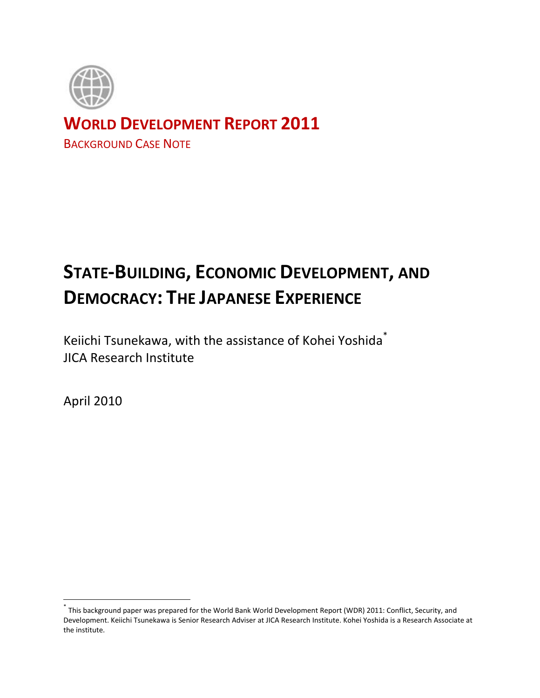

## **WORLD DEVELOPMENT REPORT 2011**

BACKGROUND CASE NOTE

# **STATE-BUILDING, ECONOMIC DEVELOPMENT, AND DEMOCRACY: THE JAPANESE EXPERIENCE**

Keiichi Tsunekawa, with the assistance of Kohei Yoshida\* JICA Research Institute

April 2010

 $\overline{a}$ 

<sup>\*</sup> This background paper was prepared for the World Bank World Development Report (WDR) 2011: Conflict, Security, and Development. Keiichi Tsunekawa is Senior Research Adviser at JICA Research Institute. Kohei Yoshida is a Research Associate at the institute.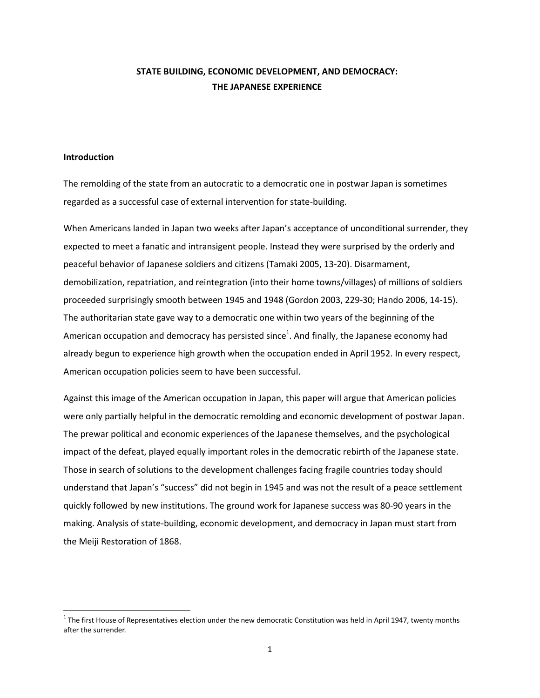### **STATE BUILDING, ECONOMIC DEVELOPMENT, AND DEMOCRACY: THE JAPANESE EXPERIENCE**

#### **Introduction**

 $\overline{\phantom{a}}$ 

The remolding of the state from an autocratic to a democratic one in postwar Japan is sometimes regarded as a successful case of external intervention for state-building.

When Americans landed in Japan two weeks after Japan's acceptance of unconditional surrender, they expected to meet a fanatic and intransigent people. Instead they were surprised by the orderly and peaceful behavior of Japanese soldiers and citizens (Tamaki 2005, 13-20). Disarmament, demobilization, repatriation, and reintegration (into their home towns/villages) of millions of soldiers proceeded surprisingly smooth between 1945 and 1948 (Gordon 2003, 229-30; Hando 2006, 14-15). The authoritarian state gave way to a democratic one within two years of the beginning of the American occupation and democracy has persisted since<sup>1</sup>. And finally, the Japanese economy had already begun to experience high growth when the occupation ended in April 1952. In every respect, American occupation policies seem to have been successful.

Against this image of the American occupation in Japan, this paper will argue that American policies were only partially helpful in the democratic remolding and economic development of postwar Japan. The prewar political and economic experiences of the Japanese themselves, and the psychological impact of the defeat, played equally important roles in the democratic rebirth of the Japanese state. Those in search of solutions to the development challenges facing fragile countries today should understand that Japan's "success" did not begin in 1945 and was not the result of a peace settlement quickly followed by new institutions. The ground work for Japanese success was 80-90 years in the making. Analysis of state-building, economic development, and democracy in Japan must start from the Meiji Restoration of 1868.

 $1$  The first House of Representatives election under the new democratic Constitution was held in April 1947, twenty months after the surrender.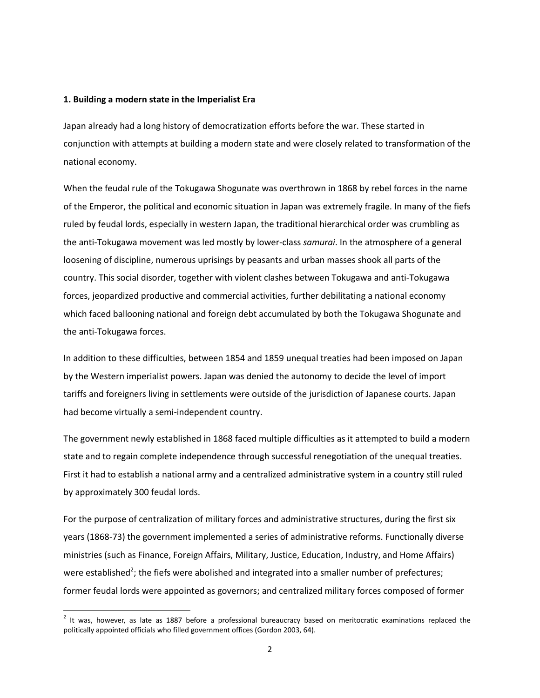#### **1. Building a modern state in the Imperialist Era**

 $\overline{\phantom{a}}$ 

Japan already had a long history of democratization efforts before the war. These started in conjunction with attempts at building a modern state and were closely related to transformation of the national economy.

When the feudal rule of the Tokugawa Shogunate was overthrown in 1868 by rebel forces in the name of the Emperor, the political and economic situation in Japan was extremely fragile. In many of the fiefs ruled by feudal lords, especially in western Japan, the traditional hierarchical order was crumbling as the anti-Tokugawa movement was led mostly by lower-class *samurai*. In the atmosphere of a general loosening of discipline, numerous uprisings by peasants and urban masses shook all parts of the country. This social disorder, together with violent clashes between Tokugawa and anti-Tokugawa forces, jeopardized productive and commercial activities, further debilitating a national economy which faced ballooning national and foreign debt accumulated by both the Tokugawa Shogunate and the anti-Tokugawa forces.

In addition to these difficulties, between 1854 and 1859 unequal treaties had been imposed on Japan by the Western imperialist powers. Japan was denied the autonomy to decide the level of import tariffs and foreigners living in settlements were outside of the jurisdiction of Japanese courts. Japan had become virtually a semi-independent country.

The government newly established in 1868 faced multiple difficulties as it attempted to build a modern state and to regain complete independence through successful renegotiation of the unequal treaties. First it had to establish a national army and a centralized administrative system in a country still ruled by approximately 300 feudal lords.

For the purpose of centralization of military forces and administrative structures, during the first six years (1868-73) the government implemented a series of administrative reforms. Functionally diverse ministries (such as Finance, Foreign Affairs, Military, Justice, Education, Industry, and Home Affairs) were established<sup>2</sup>; the fiefs were abolished and integrated into a smaller number of prefectures; former feudal lords were appointed as governors; and centralized military forces composed of former

 $2$  It was, however, as late as 1887 before a professional bureaucracy based on meritocratic examinations replaced the politically appointed officials who filled government offices (Gordon 2003, 64).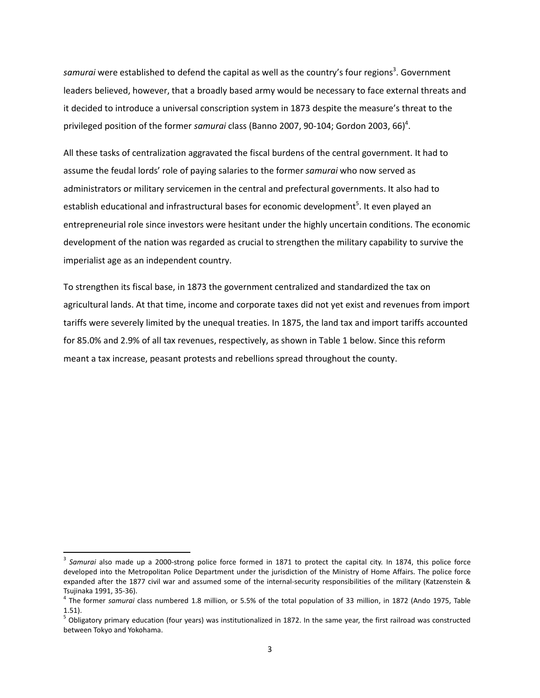samurai were established to defend the capital as well as the country's four regions<sup>3</sup>. Government leaders believed, however, that a broadly based army would be necessary to face external threats and it decided to introduce a universal conscription system in 1873 despite the measure's threat to the privileged position of the former *samurai* class (Banno 2007, 90-104; Gordon 2003, 66) 4 .

All these tasks of centralization aggravated the fiscal burdens of the central government. It had to assume the feudal lords' role of paying salaries to the former *samurai* who now served as administrators or military servicemen in the central and prefectural governments. It also had to establish educational and infrastructural bases for economic development<sup>5</sup>. It even played an entrepreneurial role since investors were hesitant under the highly uncertain conditions. The economic development of the nation was regarded as crucial to strengthen the military capability to survive the imperialist age as an independent country.

To strengthen its fiscal base, in 1873 the government centralized and standardized the tax on agricultural lands. At that time, income and corporate taxes did not yet exist and revenues from import tariffs were severely limited by the unequal treaties. In 1875, the land tax and import tariffs accounted for 85.0% and 2.9% of all tax revenues, respectively, as shown in Table 1 below. Since this reform meant a tax increase, peasant protests and rebellions spread throughout the county.

 $\overline{a}$ 

<sup>&</sup>lt;sup>3</sup> Samurai also made up a 2000-strong police force formed in 1871 to protect the capital city. In 1874, this police force developed into the Metropolitan Police Department under the jurisdiction of the Ministry of Home Affairs. The police force expanded after the 1877 civil war and assumed some of the internal-security responsibilities of the military (Katzenstein & Tsujinaka 1991, 35-36).

<sup>4</sup> The former *samurai* class numbered 1.8 million, or 5.5% of the total population of 33 million, in 1872 (Ando 1975, Table 1.51).

<sup>&</sup>lt;sup>5</sup> Obligatory primary education (four years) was institutionalized in 1872. In the same year, the first railroad was constructed between Tokyo and Yokohama.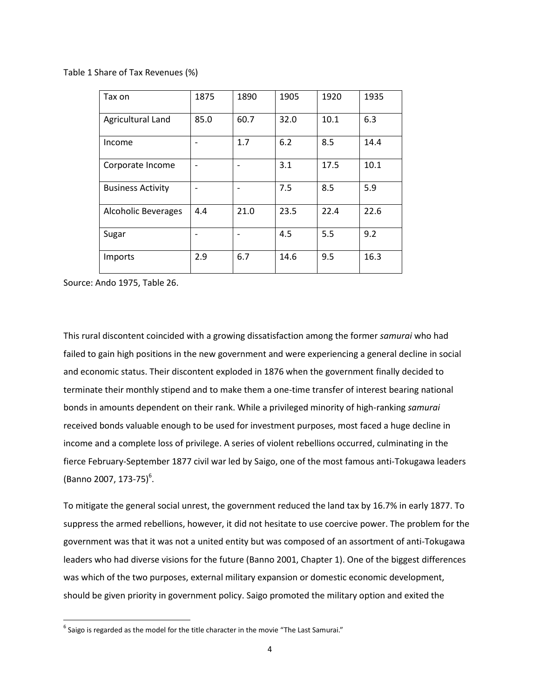Table 1 Share of Tax Revenues (%)

| Tax on                     | 1875 | 1890 | 1905 | 1920 | 1935 |
|----------------------------|------|------|------|------|------|
| Agricultural Land          | 85.0 | 60.7 | 32.0 | 10.1 | 6.3  |
| Income                     |      | 1.7  | 6.2  | 8.5  | 14.4 |
| Corporate Income           |      |      | 3.1  | 17.5 | 10.1 |
| <b>Business Activity</b>   |      |      | 7.5  | 8.5  | 5.9  |
| <b>Alcoholic Beverages</b> | 4.4  | 21.0 | 23.5 | 22.4 | 22.6 |
| Sugar                      |      |      | 4.5  | 5.5  | 9.2  |
| Imports                    | 2.9  | 6.7  | 14.6 | 9.5  | 16.3 |

Source: Ando 1975, Table 26.

 $\overline{a}$ 

This rural discontent coincided with a growing dissatisfaction among the former *samurai* who had failed to gain high positions in the new government and were experiencing a general decline in social and economic status. Their discontent exploded in 1876 when the government finally decided to terminate their monthly stipend and to make them a one-time transfer of interest bearing national bonds in amounts dependent on their rank. While a privileged minority of high-ranking *samurai* received bonds valuable enough to be used for investment purposes, most faced a huge decline in income and a complete loss of privilege. A series of violent rebellions occurred, culminating in the fierce February-September 1877 civil war led by Saigo, one of the most famous anti-Tokugawa leaders (Banno 2007, 173-75)<sup>6</sup>.

To mitigate the general social unrest, the government reduced the land tax by 16.7% in early 1877. To suppress the armed rebellions, however, it did not hesitate to use coercive power. The problem for the government was that it was not a united entity but was composed of an assortment of anti-Tokugawa leaders who had diverse visions for the future (Banno 2001, Chapter 1). One of the biggest differences was which of the two purposes, external military expansion or domestic economic development, should be given priority in government policy. Saigo promoted the military option and exited the

 $^6$  Saigo is regarded as the model for the title character in the movie "The Last Samurai."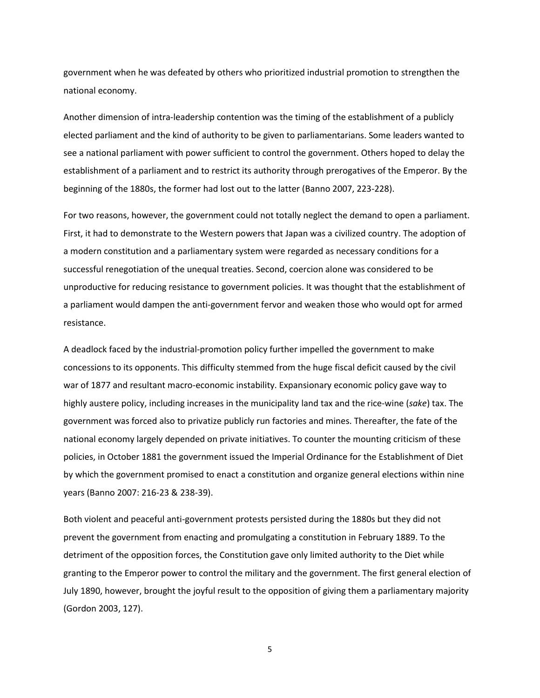government when he was defeated by others who prioritized industrial promotion to strengthen the national economy.

Another dimension of intra-leadership contention was the timing of the establishment of a publicly elected parliament and the kind of authority to be given to parliamentarians. Some leaders wanted to see a national parliament with power sufficient to control the government. Others hoped to delay the establishment of a parliament and to restrict its authority through prerogatives of the Emperor. By the beginning of the 1880s, the former had lost out to the latter (Banno 2007, 223-228).

For two reasons, however, the government could not totally neglect the demand to open a parliament. First, it had to demonstrate to the Western powers that Japan was a civilized country. The adoption of a modern constitution and a parliamentary system were regarded as necessary conditions for a successful renegotiation of the unequal treaties. Second, coercion alone was considered to be unproductive for reducing resistance to government policies. It was thought that the establishment of a parliament would dampen the anti-government fervor and weaken those who would opt for armed resistance.

A deadlock faced by the industrial-promotion policy further impelled the government to make concessions to its opponents. This difficulty stemmed from the huge fiscal deficit caused by the civil war of 1877 and resultant macro-economic instability. Expansionary economic policy gave way to highly austere policy, including increases in the municipality land tax and the rice-wine (*sake*) tax. The government was forced also to privatize publicly run factories and mines. Thereafter, the fate of the national economy largely depended on private initiatives. To counter the mounting criticism of these policies, in October 1881 the government issued the Imperial Ordinance for the Establishment of Diet by which the government promised to enact a constitution and organize general elections within nine years (Banno 2007: 216-23 & 238-39).

Both violent and peaceful anti-government protests persisted during the 1880s but they did not prevent the government from enacting and promulgating a constitution in February 1889. To the detriment of the opposition forces, the Constitution gave only limited authority to the Diet while granting to the Emperor power to control the military and the government. The first general election of July 1890, however, brought the joyful result to the opposition of giving them a parliamentary majority (Gordon 2003, 127).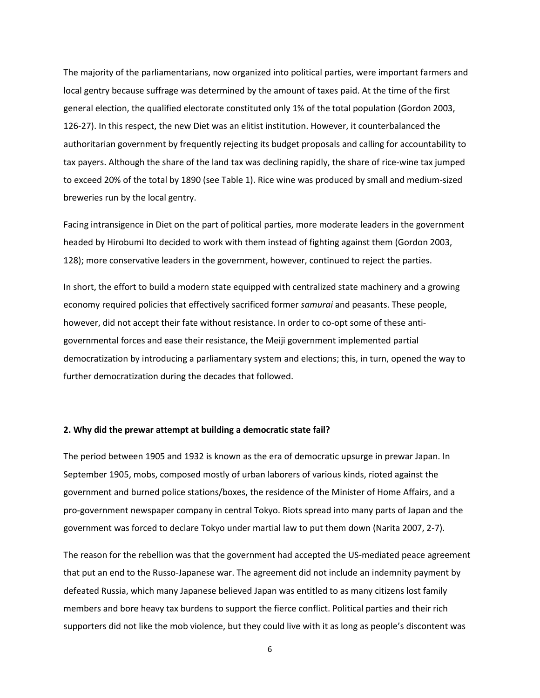The majority of the parliamentarians, now organized into political parties, were important farmers and local gentry because suffrage was determined by the amount of taxes paid. At the time of the first general election, the qualified electorate constituted only 1% of the total population (Gordon 2003, 126-27). In this respect, the new Diet was an elitist institution. However, it counterbalanced the authoritarian government by frequently rejecting its budget proposals and calling for accountability to tax payers. Although the share of the land tax was declining rapidly, the share of rice-wine tax jumped to exceed 20% of the total by 1890 (see Table 1). Rice wine was produced by small and medium-sized breweries run by the local gentry.

Facing intransigence in Diet on the part of political parties, more moderate leaders in the government headed by Hirobumi Ito decided to work with them instead of fighting against them (Gordon 2003, 128); more conservative leaders in the government, however, continued to reject the parties.

In short, the effort to build a modern state equipped with centralized state machinery and a growing economy required policies that effectively sacrificed former *samurai* and peasants. These people, however, did not accept their fate without resistance. In order to co-opt some of these antigovernmental forces and ease their resistance, the Meiji government implemented partial democratization by introducing a parliamentary system and elections; this, in turn, opened the way to further democratization during the decades that followed.

#### **2. Why did the prewar attempt at building a democratic state fail?**

The period between 1905 and 1932 is known as the era of democratic upsurge in prewar Japan. In September 1905, mobs, composed mostly of urban laborers of various kinds, rioted against the government and burned police stations/boxes, the residence of the Minister of Home Affairs, and a pro-government newspaper company in central Tokyo. Riots spread into many parts of Japan and the government was forced to declare Tokyo under martial law to put them down (Narita 2007, 2-7).

The reason for the rebellion was that the government had accepted the US-mediated peace agreement that put an end to the Russo-Japanese war. The agreement did not include an indemnity payment by defeated Russia, which many Japanese believed Japan was entitled to as many citizens lost family members and bore heavy tax burdens to support the fierce conflict. Political parties and their rich supporters did not like the mob violence, but they could live with it as long as people's discontent was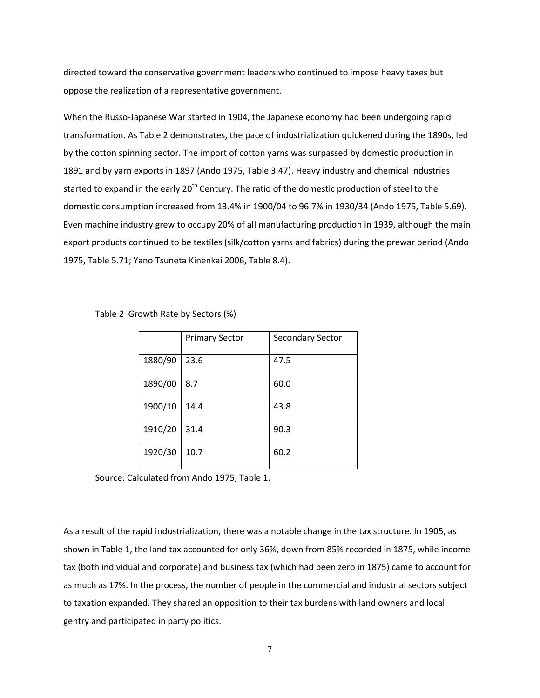directed toward the conservative government leaders who continued to impose heavy taxes but oppose the realization of a representative government.

When the Russo-Japanese War started in 1904, the Japanese economy had been undergoing rapid transformation. As Table 2 demonstrates, the pace of industrialization quickened during the 1890s, led by the cotton spinning sector. The import of cotton yarns was surpassed by domestic production in 1891 and by yarn exports in 1897 (Ando 1975, Table 3.47). Heavy industry and chemical industries started to expand in the early 20<sup>th</sup> Century. The ratio of the domestic production of steel to the domestic consumption increased from 13.4% in 1900/04 to 96.7% in 1930/34 (Ando 1975, Table 5.69). Even machine industry grew to occupy 20% of all manufacturing production in 1939, although the main export products continued to be textiles (silk/cotton yarns and fabrics) during the prewar period (Ando 1975, Table 5.71; Yano Tsuneta Kinenkai 2006, Table 8.4).

|  | Table 2 Growth Rate by Sectors (%) |  |  |  |  |
|--|------------------------------------|--|--|--|--|
|--|------------------------------------|--|--|--|--|

|         | <b>Primary Sector</b> | <b>Secondary Sector</b> |
|---------|-----------------------|-------------------------|
| 1880/90 | 23.6                  | 47.5                    |
| 1890/00 | 8.7                   | 60.0                    |
| 1900/10 | 14.4                  | 43.8                    |
| 1910/20 | 31.4                  | 90.3                    |
| 1920/30 | 10.7                  | 60.2                    |

Source: Calculated from Ando 1975, Table 1.

As a result of the rapid industrialization, there was a notable change in the tax structure. In 1905, as shown in Table 1, the land tax accounted for only 36%, down from 85% recorded in 1875, while income tax (both individual and corporate) and business tax (which had been zero in 1875) came to account for as much as 17%. In the process, the number of people in the commercial and industrial sectors subject to taxation expanded. They shared an opposition to their tax burdens with land owners and local gentry and participated in party politics.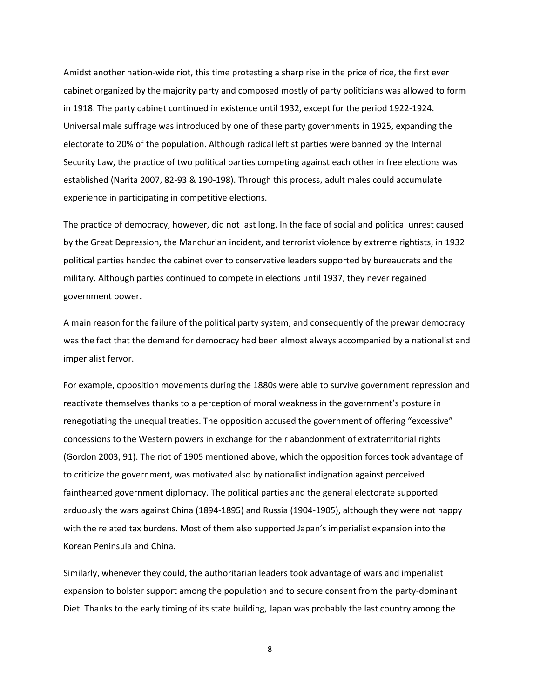Amidst another nation-wide riot, this time protesting a sharp rise in the price of rice, the first ever cabinet organized by the majority party and composed mostly of party politicians was allowed to form in 1918. The party cabinet continued in existence until 1932, except for the period 1922-1924. Universal male suffrage was introduced by one of these party governments in 1925, expanding the electorate to 20% of the population. Although radical leftist parties were banned by the Internal Security Law, the practice of two political parties competing against each other in free elections was established (Narita 2007, 82-93 & 190-198). Through this process, adult males could accumulate experience in participating in competitive elections.

The practice of democracy, however, did not last long. In the face of social and political unrest caused by the Great Depression, the Manchurian incident, and terrorist violence by extreme rightists, in 1932 political parties handed the cabinet over to conservative leaders supported by bureaucrats and the military. Although parties continued to compete in elections until 1937, they never regained government power.

A main reason for the failure of the political party system, and consequently of the prewar democracy was the fact that the demand for democracy had been almost always accompanied by a nationalist and imperialist fervor.

For example, opposition movements during the 1880s were able to survive government repression and reactivate themselves thanks to a perception of moral weakness in the government's posture in renegotiating the unequal treaties. The opposition accused the government of offering "excessive" concessions to the Western powers in exchange for their abandonment of extraterritorial rights (Gordon 2003, 91). The riot of 1905 mentioned above, which the opposition forces took advantage of to criticize the government, was motivated also by nationalist indignation against perceived fainthearted government diplomacy. The political parties and the general electorate supported arduously the wars against China (1894-1895) and Russia (1904-1905), although they were not happy with the related tax burdens. Most of them also supported Japan's imperialist expansion into the Korean Peninsula and China.

Similarly, whenever they could, the authoritarian leaders took advantage of wars and imperialist expansion to bolster support among the population and to secure consent from the party-dominant Diet. Thanks to the early timing of its state building, Japan was probably the last country among the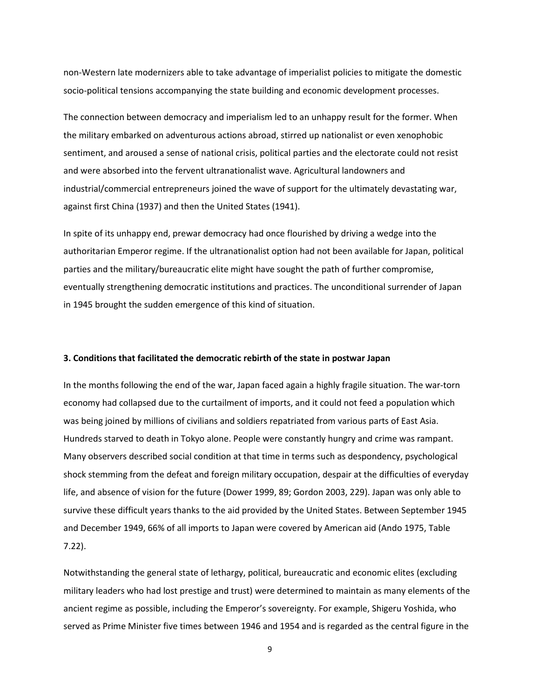non-Western late modernizers able to take advantage of imperialist policies to mitigate the domestic socio-political tensions accompanying the state building and economic development processes.

The connection between democracy and imperialism led to an unhappy result for the former. When the military embarked on adventurous actions abroad, stirred up nationalist or even xenophobic sentiment, and aroused a sense of national crisis, political parties and the electorate could not resist and were absorbed into the fervent ultranationalist wave. Agricultural landowners and industrial/commercial entrepreneurs joined the wave of support for the ultimately devastating war, against first China (1937) and then the United States (1941).

In spite of its unhappy end, prewar democracy had once flourished by driving a wedge into the authoritarian Emperor regime. If the ultranationalist option had not been available for Japan, political parties and the military/bureaucratic elite might have sought the path of further compromise, eventually strengthening democratic institutions and practices. The unconditional surrender of Japan in 1945 brought the sudden emergence of this kind of situation.

#### **3. Conditions that facilitated the democratic rebirth of the state in postwar Japan**

In the months following the end of the war, Japan faced again a highly fragile situation. The war-torn economy had collapsed due to the curtailment of imports, and it could not feed a population which was being joined by millions of civilians and soldiers repatriated from various parts of East Asia. Hundreds starved to death in Tokyo alone. People were constantly hungry and crime was rampant. Many observers described social condition at that time in terms such as despondency, psychological shock stemming from the defeat and foreign military occupation, despair at the difficulties of everyday life, and absence of vision for the future (Dower 1999, 89; Gordon 2003, 229). Japan was only able to survive these difficult years thanks to the aid provided by the United States. Between September 1945 and December 1949, 66% of all imports to Japan were covered by American aid (Ando 1975, Table 7.22).

Notwithstanding the general state of lethargy, political, bureaucratic and economic elites (excluding military leaders who had lost prestige and trust) were determined to maintain as many elements of the ancient regime as possible, including the Emperor's sovereignty. For example, Shigeru Yoshida, who served as Prime Minister five times between 1946 and 1954 and is regarded as the central figure in the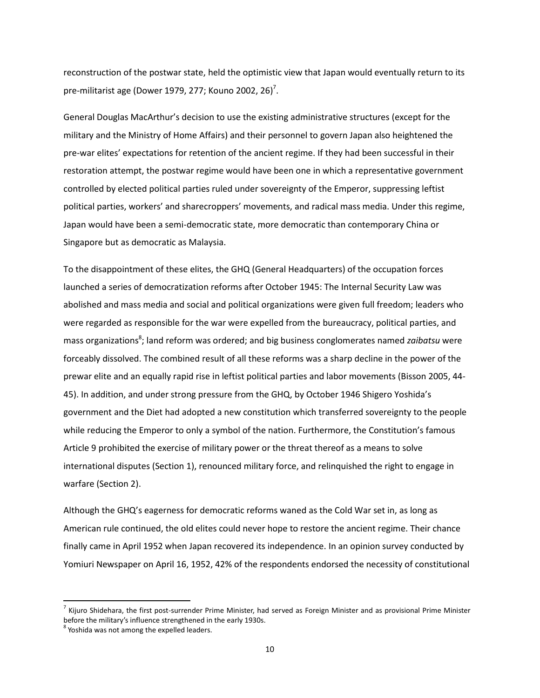reconstruction of the postwar state, held the optimistic view that Japan would eventually return to its pre-militarist age (Dower 1979, 277; Kouno 2002, 26)<sup>7</sup>.

General Douglas MacArthur's decision to use the existing administrative structures (except for the military and the Ministry of Home Affairs) and their personnel to govern Japan also heightened the pre-war elites' expectations for retention of the ancient regime. If they had been successful in their restoration attempt, the postwar regime would have been one in which a representative government controlled by elected political parties ruled under sovereignty of the Emperor, suppressing leftist political parties, workers' and sharecroppers' movements, and radical mass media. Under this regime, Japan would have been a semi-democratic state, more democratic than contemporary China or Singapore but as democratic as Malaysia.

To the disappointment of these elites, the GHQ (General Headquarters) of the occupation forces launched a series of democratization reforms after October 1945: The Internal Security Law was abolished and mass media and social and political organizations were given full freedom; leaders who were regarded as responsible for the war were expelled from the bureaucracy, political parties, and mass organizations<sup>8</sup>; land reform was ordered; and big business conglomerates named *zaibatsu* were forceably dissolved. The combined result of all these reforms was a sharp decline in the power of the prewar elite and an equally rapid rise in leftist political parties and labor movements (Bisson 2005, 44- 45). In addition, and under strong pressure from the GHQ, by October 1946 Shigero Yoshida's government and the Diet had adopted a new constitution which transferred sovereignty to the people while reducing the Emperor to only a symbol of the nation. Furthermore, the Constitution's famous Article 9 prohibited the exercise of military power or the threat thereof as a means to solve international disputes (Section 1), renounced military force, and relinquished the right to engage in warfare (Section 2).

Although the GHQ's eagerness for democratic reforms waned as the Cold War set in, as long as American rule continued, the old elites could never hope to restore the ancient regime. Their chance finally came in April 1952 when Japan recovered its independence. In an opinion survey conducted by Yomiuri Newspaper on April 16, 1952, 42% of the respondents endorsed the necessity of constitutional

l

 $^7$  Kijuro Shidehara, the first post-surrender Prime Minister, had served as Foreign Minister and as provisional Prime Minister before the military's influence strengthened in the early 1930s.

<sup>&</sup>lt;sup>8</sup> Yoshida was not among the expelled leaders.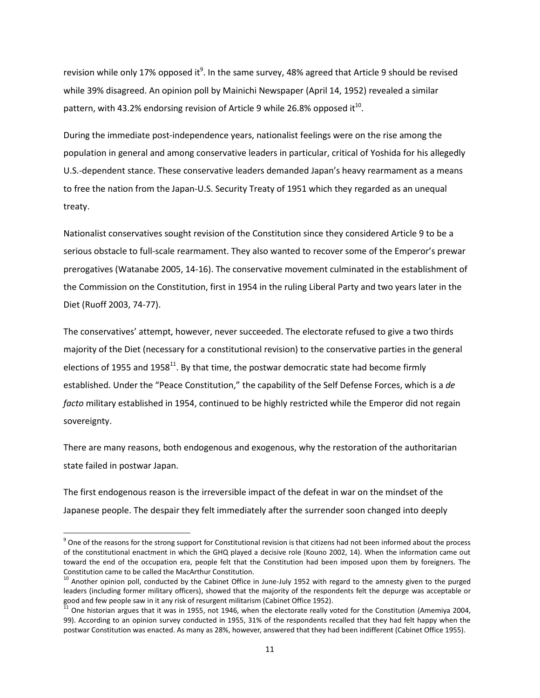revision while only 17% opposed it $^9$ . In the same survey, 48% agreed that Article 9 should be revised while 39% disagreed. An opinion poll by Mainichi Newspaper (April 14, 1952) revealed a similar pattern, with 43.2% endorsing revision of Article 9 while 26.8% opposed it<sup>10</sup>.

During the immediate post-independence years, nationalist feelings were on the rise among the population in general and among conservative leaders in particular, critical of Yoshida for his allegedly U.S.-dependent stance. These conservative leaders demanded Japan's heavy rearmament as a means to free the nation from the Japan-U.S. Security Treaty of 1951 which they regarded as an unequal treaty.

Nationalist conservatives sought revision of the Constitution since they considered Article 9 to be a serious obstacle to full-scale rearmament. They also wanted to recover some of the Emperor's prewar prerogatives (Watanabe 2005, 14-16). The conservative movement culminated in the establishment of the Commission on the Constitution, first in 1954 in the ruling Liberal Party and two years later in the Diet (Ruoff 2003, 74-77).

The conservatives' attempt, however, never succeeded. The electorate refused to give a two thirds majority of the Diet (necessary for a constitutional revision) to the conservative parties in the general elections of 1955 and 1958<sup>11</sup>. By that time, the postwar democratic state had become firmly established. Under the "Peace Constitution," the capability of the Self Defense Forces, which is a *de facto* military established in 1954, continued to be highly restricted while the Emperor did not regain sovereignty.

There are many reasons, both endogenous and exogenous, why the restoration of the authoritarian state failed in postwar Japan.

The first endogenous reason is the irreversible impact of the defeat in war on the mindset of the Japanese people. The despair they felt immediately after the surrender soon changed into deeply

 $\overline{\phantom{a}}$ 

 $9$  One of the reasons for the strong support for Constitutional revision is that citizens had not been informed about the process of the constitutional enactment in which the GHQ played a decisive role (Kouno 2002, 14). When the information came out toward the end of the occupation era, people felt that the Constitution had been imposed upon them by foreigners. The Constitution came to be called the MacArthur Constitution.

<sup>&</sup>lt;sup>10</sup> Another opinion poll, conducted by the Cabinet Office in June-July 1952 with regard to the amnesty given to the purged leaders (including former military officers), showed that the majority of the respondents felt the depurge was acceptable or good and few people saw in it any risk of resurgent militarism (Cabinet Office 1952).

 $^{11}$  One historian argues that it was in 1955, not 1946, when the electorate really voted for the Constitution (Amemiya 2004, 99). According to an opinion survey conducted in 1955, 31% of the respondents recalled that they had felt happy when the postwar Constitution was enacted. As many as 28%, however, answered that they had been indifferent (Cabinet Office 1955).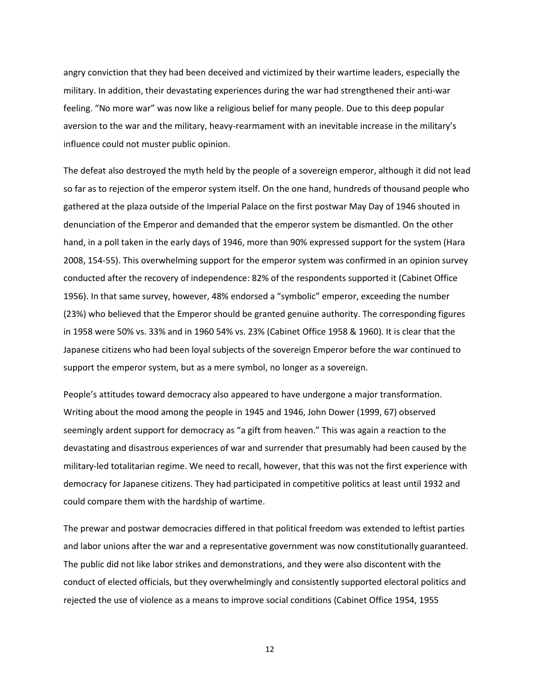angry conviction that they had been deceived and victimized by their wartime leaders, especially the military. In addition, their devastating experiences during the war had strengthened their anti-war feeling. "No more war" was now like a religious belief for many people. Due to this deep popular aversion to the war and the military, heavy-rearmament with an inevitable increase in the military's influence could not muster public opinion.

The defeat also destroyed the myth held by the people of a sovereign emperor, although it did not lead so far as to rejection of the emperor system itself. On the one hand, hundreds of thousand people who gathered at the plaza outside of the Imperial Palace on the first postwar May Day of 1946 shouted in denunciation of the Emperor and demanded that the emperor system be dismantled. On the other hand, in a poll taken in the early days of 1946, more than 90% expressed support for the system (Hara 2008, 154-55). This overwhelming support for the emperor system was confirmed in an opinion survey conducted after the recovery of independence: 82% of the respondents supported it (Cabinet Office 1956). In that same survey, however, 48% endorsed a "symbolic" emperor, exceeding the number (23%) who believed that the Emperor should be granted genuine authority. The corresponding figures in 1958 were 50% vs. 33% and in 1960 54% vs. 23% (Cabinet Office 1958 & 1960). It is clear that the Japanese citizens who had been loyal subjects of the sovereign Emperor before the war continued to support the emperor system, but as a mere symbol, no longer as a sovereign.

People's attitudes toward democracy also appeared to have undergone a major transformation. Writing about the mood among the people in 1945 and 1946, John Dower (1999, 67) observed seemingly ardent support for democracy as "a gift from heaven." This was again a reaction to the devastating and disastrous experiences of war and surrender that presumably had been caused by the military-led totalitarian regime. We need to recall, however, that this was not the first experience with democracy for Japanese citizens. They had participated in competitive politics at least until 1932 and could compare them with the hardship of wartime.

The prewar and postwar democracies differed in that political freedom was extended to leftist parties and labor unions after the war and a representative government was now constitutionally guaranteed. The public did not like labor strikes and demonstrations, and they were also discontent with the conduct of elected officials, but they overwhelmingly and consistently supported electoral politics and rejected the use of violence as a means to improve social conditions (Cabinet Office 1954, 1955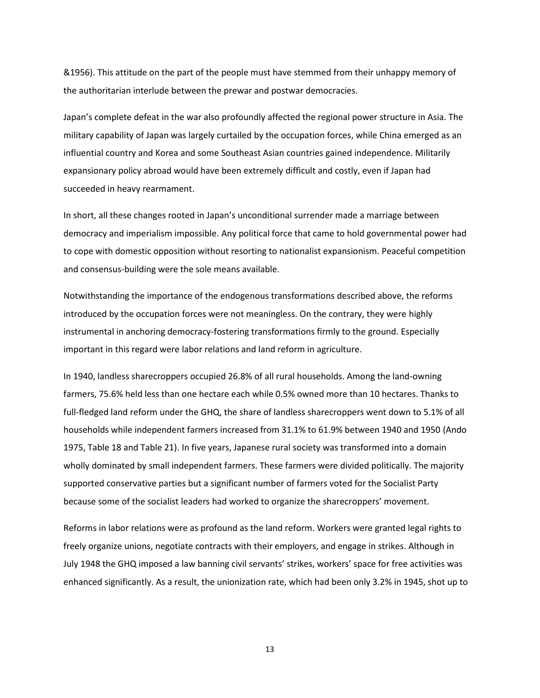&1956). This attitude on the part of the people must have stemmed from their unhappy memory of the authoritarian interlude between the prewar and postwar democracies.

Japan's complete defeat in the war also profoundly affected the regional power structure in Asia. The military capability of Japan was largely curtailed by the occupation forces, while China emerged as an influential country and Korea and some Southeast Asian countries gained independence. Militarily expansionary policy abroad would have been extremely difficult and costly, even if Japan had succeeded in heavy rearmament.

In short, all these changes rooted in Japan's unconditional surrender made a marriage between democracy and imperialism impossible. Any political force that came to hold governmental power had to cope with domestic opposition without resorting to nationalist expansionism. Peaceful competition and consensus-building were the sole means available.

Notwithstanding the importance of the endogenous transformations described above, the reforms introduced by the occupation forces were not meaningless. On the contrary, they were highly instrumental in anchoring democracy-fostering transformations firmly to the ground. Especially important in this regard were labor relations and land reform in agriculture.

In 1940, landless sharecroppers occupied 26.8% of all rural households. Among the land-owning farmers, 75.6% held less than one hectare each while 0.5% owned more than 10 hectares. Thanks to full-fledged land reform under the GHQ, the share of landless sharecroppers went down to 5.1% of all households while independent farmers increased from 31.1% to 61.9% between 1940 and 1950 (Ando 1975, Table 18 and Table 21). In five years, Japanese rural society was transformed into a domain wholly dominated by small independent farmers. These farmers were divided politically. The majority supported conservative parties but a significant number of farmers voted for the Socialist Party because some of the socialist leaders had worked to organize the sharecroppers' movement.

Reforms in labor relations were as profound as the land reform. Workers were granted legal rights to freely organize unions, negotiate contracts with their employers, and engage in strikes. Although in July 1948 the GHQ imposed a law banning civil servants' strikes, workers' space for free activities was enhanced significantly. As a result, the unionization rate, which had been only 3.2% in 1945, shot up to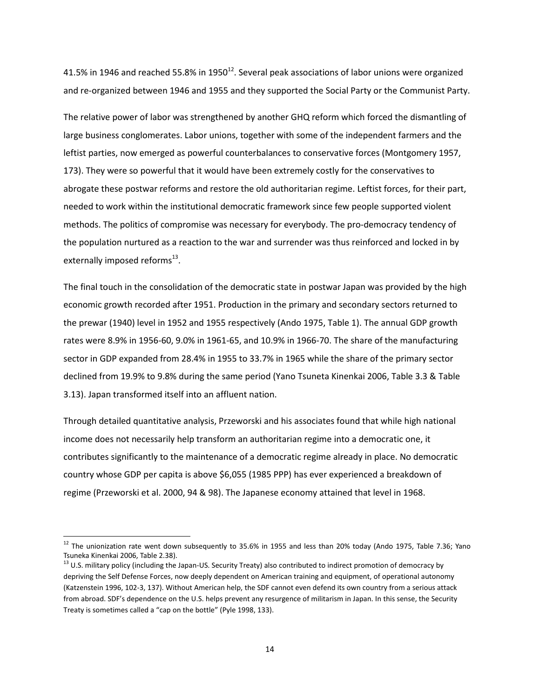41.5% in 1946 and reached 55.8% in 1950<sup>12</sup>. Several peak associations of labor unions were organized and re-organized between 1946 and 1955 and they supported the Social Party or the Communist Party.

The relative power of labor was strengthened by another GHQ reform which forced the dismantling of large business conglomerates. Labor unions, together with some of the independent farmers and the leftist parties, now emerged as powerful counterbalances to conservative forces (Montgomery 1957, 173). They were so powerful that it would have been extremely costly for the conservatives to abrogate these postwar reforms and restore the old authoritarian regime. Leftist forces, for their part, needed to work within the institutional democratic framework since few people supported violent methods. The politics of compromise was necessary for everybody. The pro-democracy tendency of the population nurtured as a reaction to the war and surrender was thus reinforced and locked in by externally imposed reforms $^{13}$ .

The final touch in the consolidation of the democratic state in postwar Japan was provided by the high economic growth recorded after 1951. Production in the primary and secondary sectors returned to the prewar (1940) level in 1952 and 1955 respectively (Ando 1975, Table 1). The annual GDP growth rates were 8.9% in 1956-60, 9.0% in 1961-65, and 10.9% in 1966-70. The share of the manufacturing sector in GDP expanded from 28.4% in 1955 to 33.7% in 1965 while the share of the primary sector declined from 19.9% to 9.8% during the same period (Yano Tsuneta Kinenkai 2006, Table 3.3 & Table 3.13). Japan transformed itself into an affluent nation.

Through detailed quantitative analysis, Przeworski and his associates found that while high national income does not necessarily help transform an authoritarian regime into a democratic one, it contributes significantly to the maintenance of a democratic regime already in place. No democratic country whose GDP per capita is above \$6,055 (1985 PPP) has ever experienced a breakdown of regime (Przeworski et al. 2000, 94 & 98). The Japanese economy attained that level in 1968.

l

 $12$  The unionization rate went down subsequently to 35.6% in 1955 and less than 20% today (Ando 1975, Table 7.36; Yano Tsuneka Kinenkai 2006, Table 2.38).

<sup>&</sup>lt;sup>13</sup> U.S. military policy (including the Japan-US. Security Treaty) also contributed to indirect promotion of democracy by depriving the Self Defense Forces, now deeply dependent on American training and equipment, of operational autonomy (Katzenstein 1996, 102-3, 137). Without American help, the SDF cannot even defend its own country from a serious attack from abroad. SDF's dependence on the U.S. helps prevent any resurgence of militarism in Japan. In this sense, the Security Treaty is sometimes called a "cap on the bottle" (Pyle 1998, 133).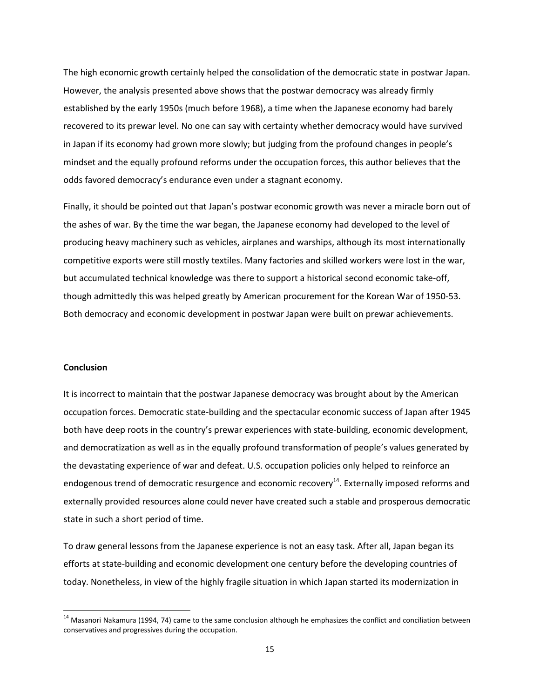The high economic growth certainly helped the consolidation of the democratic state in postwar Japan. However, the analysis presented above shows that the postwar democracy was already firmly established by the early 1950s (much before 1968), a time when the Japanese economy had barely recovered to its prewar level. No one can say with certainty whether democracy would have survived in Japan if its economy had grown more slowly; but judging from the profound changes in people's mindset and the equally profound reforms under the occupation forces, this author believes that the odds favored democracy's endurance even under a stagnant economy.

Finally, it should be pointed out that Japan's postwar economic growth was never a miracle born out of the ashes of war. By the time the war began, the Japanese economy had developed to the level of producing heavy machinery such as vehicles, airplanes and warships, although its most internationally competitive exports were still mostly textiles. Many factories and skilled workers were lost in the war, but accumulated technical knowledge was there to support a historical second economic take-off, though admittedly this was helped greatly by American procurement for the Korean War of 1950-53. Both democracy and economic development in postwar Japan were built on prewar achievements.

#### **Conclusion**

 $\overline{\phantom{a}}$ 

It is incorrect to maintain that the postwar Japanese democracy was brought about by the American occupation forces. Democratic state-building and the spectacular economic success of Japan after 1945 both have deep roots in the country's prewar experiences with state-building, economic development, and democratization as well as in the equally profound transformation of people's values generated by the devastating experience of war and defeat. U.S. occupation policies only helped to reinforce an endogenous trend of democratic resurgence and economic recovery<sup>14</sup>. Externally imposed reforms and externally provided resources alone could never have created such a stable and prosperous democratic state in such a short period of time.

To draw general lessons from the Japanese experience is not an easy task. After all, Japan began its efforts at state-building and economic development one century before the developing countries of today. Nonetheless, in view of the highly fragile situation in which Japan started its modernization in

<sup>&</sup>lt;sup>14</sup> Masanori Nakamura (1994, 74) came to the same conclusion although he emphasizes the conflict and conciliation between conservatives and progressives during the occupation.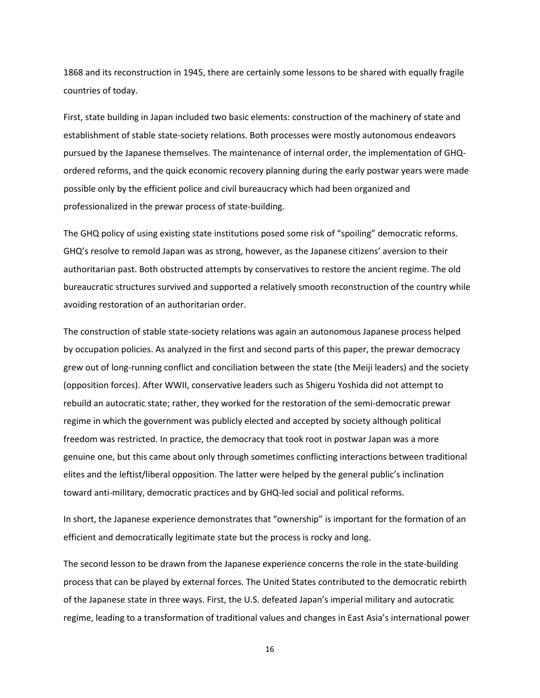1868 and its reconstruction in 1945, there are certainly some lessons to be shared with equally fragile countries of today.

First, state building in Japan included two basic elements: construction of the machinery of state and establishment of stable state-society relations. Both processes were mostly autonomous endeavors pursued by the Japanese themselves. The maintenance of internal order, the implementation of GHQordered reforms, and the quick economic recovery planning during the early postwar years were made possible only by the efficient police and civil bureaucracy which had been organized and professionalized in the prewar process of state-building.

The GHQ policy of using existing state institutions posed some risk of "spoiling" democratic reforms. GHQ's resolve to remold Japan was as strong, however, as the Japanese citizens' aversion to their authoritarian past. Both obstructed attempts by conservatives to restore the ancient regime. The old bureaucratic structures survived and supported a relatively smooth reconstruction of the country while avoiding restoration of an authoritarian order.

The construction of stable state-society relations was again an autonomous Japanese process helped by occupation policies. As analyzed in the first and second parts of this paper, the prewar democracy grew out of long-running conflict and conciliation between the state (the Meiji leaders) and the society (opposition forces). After WWII, conservative leaders such as Shigeru Yoshida did not attempt to rebuild an autocratic state; rather, they worked for the restoration of the semi-democratic prewar regime in which the government was publicly elected and accepted by society although political freedom was restricted. In practice, the democracy that took root in postwar Japan was a more genuine one, but this came about only through sometimes conflicting interactions between traditional elites and the leftist/liberal opposition. The latter were helped by the general public's inclination toward anti-military, democratic practices and by GHQ-led social and political reforms.

In short, the Japanese experience demonstrates that "ownership" is important for the formation of an efficient and democratically legitimate state but the process is rocky and long.

The second lesson to be drawn from the Japanese experience concerns the role in the state-building process that can be played by external forces. The United States contributed to the democratic rebirth of the Japanese state in three ways. First, the U.S. defeated Japan's imperial military and autocratic regime, leading to a transformation of traditional values and changes in East Asia's international power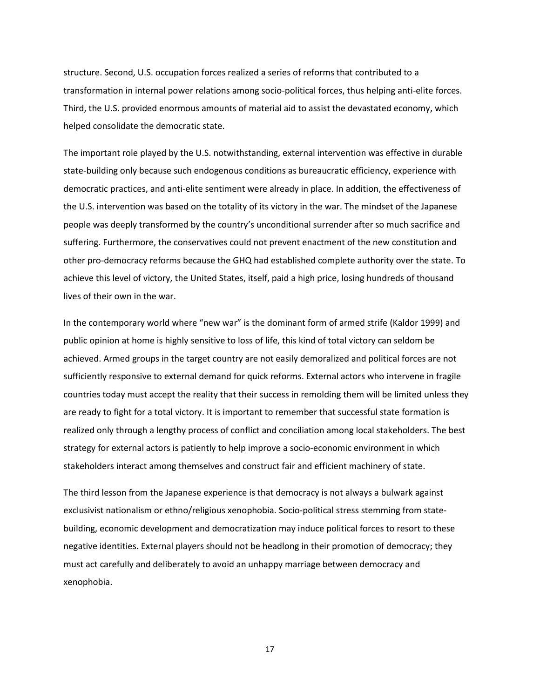structure. Second, U.S. occupation forces realized a series of reforms that contributed to a transformation in internal power relations among socio-political forces, thus helping anti-elite forces. Third, the U.S. provided enormous amounts of material aid to assist the devastated economy, which helped consolidate the democratic state.

The important role played by the U.S. notwithstanding, external intervention was effective in durable state-building only because such endogenous conditions as bureaucratic efficiency, experience with democratic practices, and anti-elite sentiment were already in place. In addition, the effectiveness of the U.S. intervention was based on the totality of its victory in the war. The mindset of the Japanese people was deeply transformed by the country's unconditional surrender after so much sacrifice and suffering. Furthermore, the conservatives could not prevent enactment of the new constitution and other pro-democracy reforms because the GHQ had established complete authority over the state. To achieve this level of victory, the United States, itself, paid a high price, losing hundreds of thousand lives of their own in the war.

In the contemporary world where "new war" is the dominant form of armed strife (Kaldor 1999) and public opinion at home is highly sensitive to loss of life, this kind of total victory can seldom be achieved. Armed groups in the target country are not easily demoralized and political forces are not sufficiently responsive to external demand for quick reforms. External actors who intervene in fragile countries today must accept the reality that their success in remolding them will be limited unless they are ready to fight for a total victory. It is important to remember that successful state formation is realized only through a lengthy process of conflict and conciliation among local stakeholders. The best strategy for external actors is patiently to help improve a socio-economic environment in which stakeholders interact among themselves and construct fair and efficient machinery of state.

The third lesson from the Japanese experience is that democracy is not always a bulwark against exclusivist nationalism or ethno/religious xenophobia. Socio-political stress stemming from statebuilding, economic development and democratization may induce political forces to resort to these negative identities. External players should not be headlong in their promotion of democracy; they must act carefully and deliberately to avoid an unhappy marriage between democracy and xenophobia.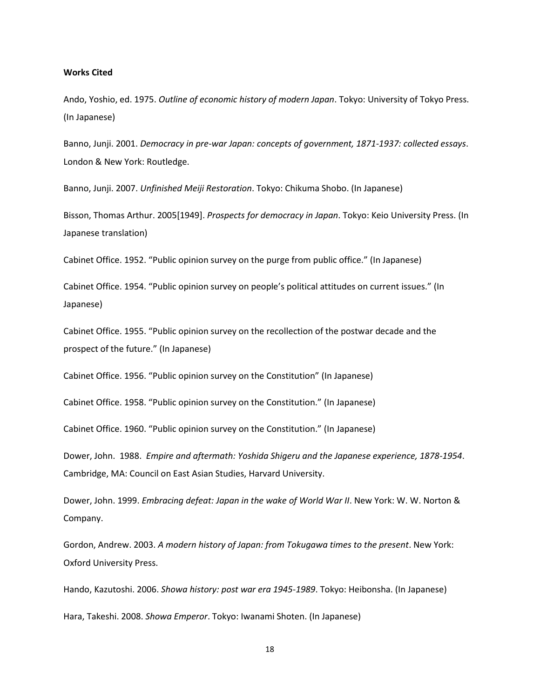#### **Works Cited**

Ando, Yoshio, ed. 1975. *Outline of economic history of modern Japan*. Tokyo: University of Tokyo Press. (In Japanese)

Banno, Junji. 2001. *Democracy in pre-war Japan: concepts of government, 1871-1937: collected essays*. London & New York: Routledge.

Banno, Junji. 2007. *Unfinished Meiji Restoration*. Tokyo: Chikuma Shobo. (In Japanese)

Bisson, Thomas Arthur. 2005[1949]. *Prospects for democracy in Japan*. Tokyo: Keio University Press. (In Japanese translation)

Cabinet Office. 1952. "Public opinion survey on the purge from public office." (In Japanese)

Cabinet Office. 1954. "Public opinion survey on people's political attitudes on current issues." (In Japanese)

Cabinet Office. 1955. "Public opinion survey on the recollection of the postwar decade and the prospect of the future." (In Japanese)

Cabinet Office. 1956. "Public opinion survey on the Constitution" (In Japanese)

Cabinet Office. 1958. "Public opinion survey on the Constitution." (In Japanese)

Cabinet Office. 1960. "Public opinion survey on the Constitution." (In Japanese)

Dower, John. 1988. *Empire and aftermath: Yoshida Shigeru and the Japanese experience, 1878-1954*. Cambridge, MA: Council on East Asian Studies, Harvard University.

Dower, John. 1999. *Embracing defeat: Japan in the wake of World War II*. New York: W. W. Norton & Company.

Gordon, Andrew. 2003. *A modern history of Japan: from Tokugawa times to the present*. New York: Oxford University Press.

Hando, Kazutoshi. 2006. *Showa history: post war era 1945-1989*. Tokyo: Heibonsha. (In Japanese) Hara, Takeshi. 2008. *Showa Emperor*. Tokyo: Iwanami Shoten. (In Japanese)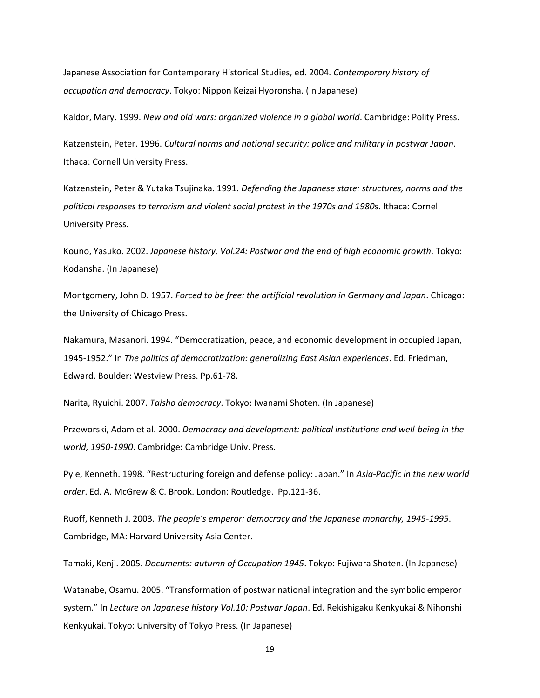Japanese Association for Contemporary Historical Studies, ed. 2004. *Contemporary history of occupation and democracy*. Tokyo: Nippon Keizai Hyoronsha. (In Japanese)

Kaldor, Mary. 1999. *New and old wars: organized violence in a global world*. Cambridge: Polity Press.

Katzenstein, Peter. 1996. *Cultural norms and national security: police and military in postwar Japan*. Ithaca: Cornell University Press.

Katzenstein, Peter & Yutaka Tsujinaka. 1991. *Defending the Japanese state: structures, norms and the political responses to terrorism and violent social protest in the 1970s and 1980*s. Ithaca: Cornell University Press.

Kouno, Yasuko. 2002. *Japanese history, Vol.24: Postwar and the end of high economic growth*. Tokyo: Kodansha. (In Japanese)

Montgomery, John D. 1957. *Forced to be free: the artificial revolution in Germany and Japan*. Chicago: the University of Chicago Press.

Nakamura, Masanori. 1994. "Democratization, peace, and economic development in occupied Japan, 1945-1952." In *The politics of democratization: generalizing East Asian experiences*. Ed. Friedman, Edward. Boulder: Westview Press. Pp.61-78.

Narita, Ryuichi. 2007. *Taisho democracy*. Tokyo: Iwanami Shoten. (In Japanese)

Przeworski, Adam et al. 2000. *Democracy and development: political institutions and well-being in the world, 1950-1990*. Cambridge: Cambridge Univ. Press.

Pyle, Kenneth. 1998. "Restructuring foreign and defense policy: Japan." In *Asia-Pacific in the new world order*. Ed. A. McGrew & C. Brook. London: Routledge. Pp.121-36.

Ruoff, Kenneth J. 2003. *The people's emperor: democracy and the Japanese monarchy, 1945-1995*. Cambridge, MA: Harvard University Asia Center.

Tamaki, Kenji. 2005. *Documents: autumn of Occupation 1945*. Tokyo: Fujiwara Shoten. (In Japanese)

Watanabe, Osamu. 2005. "Transformation of postwar national integration and the symbolic emperor system." In *Lecture on Japanese history Vol.10: Postwar Japan*. Ed. Rekishigaku Kenkyukai & Nihonshi Kenkyukai. Tokyo: University of Tokyo Press. (In Japanese)